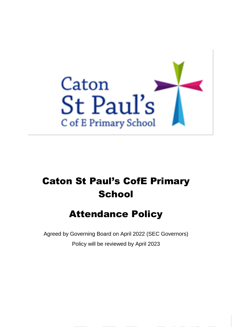

# Caton St Paul's CofE Primary **School**

## Attendance Policy

Agreed by Governing Board on April 2022 (SEC Governors) Policy will be reviewed by April 2023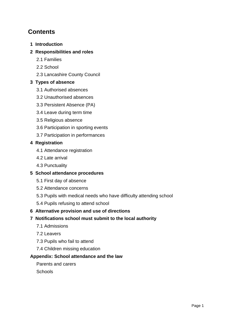## **Contents**

**[1 Introduction](#page-2-0)**

## **[2 Responsibilities and roles](#page-2-1)**

- [2.1 Families](#page-2-2)
- [2.2 School](#page-2-3)
- [2.3 Lancashire County Council](#page-4-0)

## **[3 Types of absence](#page-4-1)**

- [3.1 Authorised absences](#page-4-2)
- [3.2 Unauthorised absences](#page-4-3)
- [3.3 Persistent Absence \(PA\)](#page-5-0)
- [3.4 Leave during term time](#page-5-1)
- [3.5 Religious absence](#page-6-0)
- [3.6 Participation in sporting events](#page-6-1)
- [3.7 Participation in performances](#page-7-0)

## **[4 Registration](#page-7-1)**

- [4.1 Attendance registration](#page-7-2)
- [4.2 Late arrival](#page-7-3)
- [4.3 Punctuality](#page-7-4)

## **[5 School attendance procedures](#page-8-0)**

- [5.1 First day of absence](#page-8-1)
- [5.2 Attendance concerns](#page-8-2)
- [5.3 Pupils with medical needs who have difficulty attending school](#page-8-3)
- [5.4 Pupils refusing to attend school](#page-9-0)

## **[6 Alternative provision and use of directions](#page-9-1)**

## **[7 Notifications school must submit to the local authority](#page-9-2)**

- [7.1 Admissions](#page-9-3)
- [7.2 Leavers](#page-9-4)
- [7.3 Pupils who fail to attend](#page-10-0)
- [7.4 Children missing education](#page-10-1)

## **[Appendix: School attendance and the law](#page-11-0)**

[Parents and carers](#page-11-1)

**[Schools](#page-12-0)**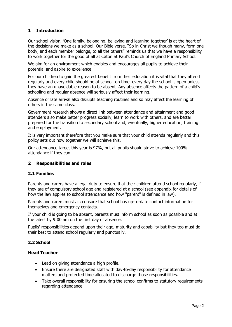## <span id="page-2-0"></span>**1 Introduction**

Our school vision, 'One family, belonging, believing and learning together' is at the heart of the decisions we make as a school. Our Bible verse, "So in Christ we though many, form one body, and each member belongs, to all the others" reminds us that we have a responsibility to work together for the good of all at Caton St Paul's Church of England Primary School.

We aim for an environment which enables and encourages all pupils to achieve their potential and aspire to excellence.

For our children to gain the greatest benefit from their education it is vital that they attend regularly and every child should be at school, on time, every day the school is open unless they have an unavoidable reason to be absent. Any absence affects the pattern of a child's schooling and regular absence will seriously affect their learning.

Absence or late arrival also disrupts teaching routines and so may affect the learning of others in the same class.

Government research shows a direct link between attendance and attainment and good attenders also make better progress socially, learn to work with others, and are better prepared for the transition to secondary school and, eventually, higher education, training and employment.

It is very important therefore that you make sure that your child attends regularly and this policy sets out how together we will achieve this.

Our attendance target this year is 97%, but all pupils should strive to achieve 100% attendance if they can.

#### <span id="page-2-1"></span>**2 Responsibilities and roles**

#### <span id="page-2-2"></span>**2.1 Families**

Parents and carers have a legal duty to ensure that their children attend school regularly, if they are of compulsory school age and registered at a school (see appendix for details of how the law applies to school attendance and how "parent" is defined in law).

Parents and carers must also ensure that school has up-to-date contact information for themselves and emergency contacts.

If your child is going to be absent, parents must inform school as soon as possible and at the latest by 9:00 am on the first day of absence.

Pupils' responsibilities depend upon their age, maturity and capability but they too must do their best to attend school regularly and punctually.

#### <span id="page-2-3"></span>**2.2 School**

#### **Head Teacher**

- Lead on giving attendance a high profile.
- Ensure there are designated staff with day-to-day responsibility for attendance matters and protected time allocated to discharge those responsibilities.
- Take overall responsibility for ensuring the school confirms to statutory requirements regarding attendance.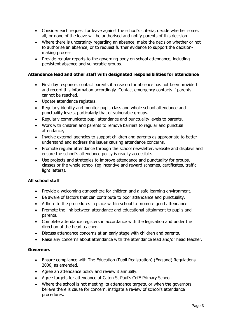- Consider each request for leave against the school's criteria, decide whether some, all, or none of the leave will be authorised and notify parents of this decision.
- Where there is uncertainty regarding an absence, make the decision whether or not to authorise an absence, or to request further evidence to support the decisionmaking process.
- Provide regular reports to the governing body on school attendance, including persistent absence and vulnerable groups.

#### **Attendance lead and other staff with designated responsibilities for attendance**

- First day response: contact parents if a reason for absence has not been provided and record this information accordingly. Contact emergency contacts if parents cannot be reached.
- Update attendance registers.
- Regularly identify and monitor pupil, class and whole school attendance and punctuality levels, particularly that of vulnerable groups.
- Regularly communicate pupil attendance and punctuality levels to parents.
- Work with children and parents to remove barriers to regular and punctual attendance,
- Involve external agencies to support children and parents as appropriate to better understand and address the issues causing attendance concerns.
- Promote regular attendance through the school newsletter, website and displays and ensure the school's attendance policy is readily accessible.
- Use projects and strategies to improve attendance and punctuality for groups, classes or the whole school (eg incentive and reward schemes, certificates, traffic light letters).

#### **All school staff**

- Provide a welcoming atmosphere for children and a safe learning environment.
- Be aware of factors that can contribute to poor attendance and punctuality.
- Adhere to the procedures in place within school to promote good attendance.
- Promote the link between attendance and educational attainment to pupils and parents.
- Complete attendance registers in accordance with the legislation and under the direction of the head teacher.
- Discuss attendance concerns at an early stage with children and parents.
- Raise any concerns about attendance with the attendance lead and/or head teacher.

#### **Governors**

- Ensure compliance with The Education (Pupil Registration) (England) Regulations 2006, as amended.
- Agree an attendance policy and review it annually.
- Agree targets for attendance at Caton St Paul's CofE Primary School.
- Where the school is not meeting its attendance targets, or when the governors believe there is cause for concern, instigate a review of school's attendance procedures.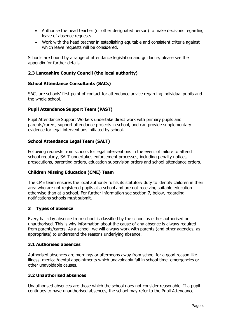- Authorise the head teacher (or other designated person) to make decisions regarding leave of absence requests.
- Work with the head teacher in establishing equitable and consistent criteria against which leave requests will be considered.

Schools are bound by a range of attendance legislation and guidance; please see the appendix for further details.

## <span id="page-4-0"></span>**2.3 Lancashire County Council (the local authority)**

#### **School Attendance Consultants (SACs)**

SACs are schools' first point of contact for attendance advice regarding individual pupils and the whole school.

#### **Pupil Attendance Support Team (PAST)**

Pupil Attendance Support Workers undertake direct work with primary pupils and parents/carers, support attendance projects in school, and can provide supplementary evidence for legal interventions initiated by school.

#### **School Attendance Legal Team (SALT)**

Following requests from schools for legal interventions in the event of failure to attend school regularly, SALT undertakes enforcement processes, including penalty notices, prosecutions, parenting orders, education supervision orders and school attendance orders.

#### **Children Missing Education (CME) Team**

The CME team ensures the local authority fulfils its statutory duty to identify children in their area who are not registered pupils at a school and are not receiving suitable education otherwise than at a school. For further information see section 7, below, regarding notifications schools must submit.

#### <span id="page-4-1"></span>**3 Types of absence**

Every half-day absence from school is classified by the school as either authorised or unauthorised. This is why information about the cause of any absence is always required from parents/carers. As a school, we will always work with parents (and other agencies, as appropriate) to understand the reasons underlying absence.

#### <span id="page-4-2"></span>**3.1 Authorised absences**

Authorised absences are mornings or afternoons away from school for a good reason like illness, medical/dental appointments which unavoidably fall in school time, emergencies or other unavoidable causes.

#### <span id="page-4-3"></span>**3.2 Unauthorised absences**

Unauthorised absences are those which the school does not consider reasonable. If a pupil continues to have unauthorised absences, the school may refer to the Pupil Attendance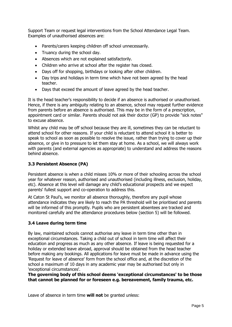Support Team or request legal interventions from the School Attendance Legal Team. Examples of unauthorised absences are:

- Parents/carers keeping children off school unnecessarily.
- Truancy during the school day.
- Absences which are not explained satisfactorily.
- Children who arrive at school after the register has closed.
- Days off for shopping, birthdays or looking after other children.
- Day trips and holidays in term time which have not been agreed by the head teacher.
- Days that exceed the amount of leave agreed by the head teacher.

It is the head teacher's responsibility to decide if an absence is authorised or unauthorised. Hence, if there is any ambiguity relating to an absence, school may request further evidence from parents before an absence is authorised. This may be in the form of a prescription, appointment card or similar. Parents should not ask their doctor (GP) to provide "sick notes" to excuse absence.

Whilst any child may be off school because they are ill, sometimes they can be reluctant to attend school for other reasons. If your child is reluctant to attend school it is better to speak to school as soon as possible to resolve the issue, rather than trying to cover up their absence, or give in to pressure to let them stay at home. As a school, we will always work with parents (and external agencies as appropriate) to understand and address the reasons behind absence.

## <span id="page-5-0"></span>**3.3 Persistent Absence (PA)**

Persistent absence is when a child misses 10% or more of their schooling across the school year for whatever reason, authorised and unauthorised (including illness, exclusion, holiday, etc). Absence at this level will damage any child's educational prospects and we expect parents' fullest support and co-operation to address this.

At Caton St Paul's, we monitor all absence thoroughly, therefore any pupil whose attendance indicates they are likely to reach the PA threshold will be prioritised and parents will be informed of this promptly. Pupils who are persistent absentees are tracked and monitored carefully and the attendance procedures below (section 5) will be followed.

#### <span id="page-5-1"></span>**3.4 Leave during term time**

By law, maintained schools cannot authorise any leave in term time other than in exceptional circumstances. Taking a child out of school in term time will affect their education and progress as much as any other absence. If leave is being requested for a holiday or extended leave abroad, approval should be obtained from the head teacher before making any bookings. All applications for leave must be made in advance using the 'Request for leave of absence' form from the school office and, at the discretion of the school a maximum of 10 days in any academic year may be authorised but only in 'exceptional circumstances'.

**The governing body of this school deems 'exceptional circumstances' to be those that cannot be planned for or foreseen e.g. bereavement, family trauma, etc.** 

Leave of absence in term time **will not** be granted unless: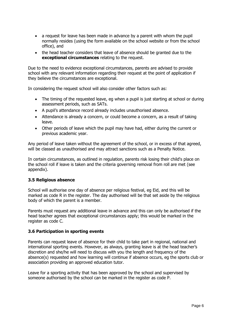- a request for leave has been made in advance by a parent with whom the pupil normally resides (using the form available on the school website or from the school office), and
- the head teacher considers that leave of absence should be granted due to the **exceptional circumstances** relating to the request.

Due to the need to evidence exceptional circumstances, parents are advised to provide school with any relevant information regarding their request at the point of application if they believe the circumstances are exceptional.

In considering the request school will also consider other factors such as:

- The timing of the requested leave, eg when a pupil is just starting at school or during assessment periods, such as SATs.
- A pupil's attendance record already includes unauthorised absence.
- Attendance is already a concern, or could become a concern, as a result of taking leave.
- Other periods of leave which the pupil may have had, either during the current or previous academic year.

Any period of leave taken without the agreement of the school, or in excess of that agreed, will be classed as unauthorised and may attract sanctions such as a Penalty Notice.

In certain circumstances, as outlined in regulation, parents risk losing their child's place on the school roll if leave is taken and the criteria governing removal from roll are met (see appendix).

#### <span id="page-6-0"></span>**3.5 Religious absence**

School will authorise one day of absence per religious festival, eg Eid, and this will be marked as code R in the register. The day authorised will be that set aside by the religious body of which the parent is a member.

Parents must request any additional leave in advance and this can only be authorised if the head teacher agrees that exceptional circumstances apply; this would be marked in the register as code C.

#### <span id="page-6-1"></span>**3.6 Participation in sporting events**

Parents can request leave of absence for their child to take part in regional, national and international sporting events. However, as always, granting leave is at the head teacher's discretion and she/he will need to discuss with you the length and frequency of the absence(s) requested and how learning will continue if absence occurs, eg the sports club or association providing an approved education tutor.

Leave for a sporting activity that has been approved by the school and supervised by someone authorised by the school can be marked in the register as code P.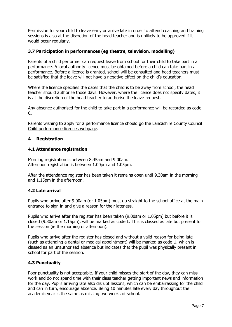Permission for your child to leave early or arrive late in order to attend coaching and training sessions is also at the discretion of the head teacher and is unlikely to be approved if it would occur regularly.

#### <span id="page-7-0"></span>**3.7 Participation in performances (eg theatre, television, modelling)**

Parents of a child performer can request leave from school for their child to take part in a performance. A local authority licence must be obtained before a child can take part in a performance. Before a licence is granted, school will be consulted and head teachers must be satisfied that the leave will not have a negative effect on the child's education.

Where the licence specifies the dates that the child is to be away from school, the head teacher should authorise those days. However, where the licence does not specify dates, it is at the discretion of the head teacher to authorise the leave request.

Any absence authorised for the child to take part in a performance will be recorded as code  $C_{\cdot}$ 

Parents wishing to apply for a performance licence should go the Lancashire County Council [Child performance licences webpage.](https://www.lancashire.gov.uk/children-education-families/keeping-children-safe/children-in-employment-and-entertainment/child-performance-licences/)

#### <span id="page-7-1"></span>**4 Registration**

#### <span id="page-7-2"></span>**4.1 Attendance registration**

Morning registration is between 8.45am and 9.00am. Afternoon registration is between 1.00pm and 1.05pm.

After the attendance register has been taken it remains open until 9.30am in the morning and 1.15pm in the afternoon.

#### <span id="page-7-3"></span>**4.2 Late arrival**

Pupils who arrive after 9.00am (or 1.05pm) must go straight to the school office at the main entrance to sign in and give a reason for their lateness.

Pupils who arrive after the register has been taken (9.00am or 1.05pm) but before it is closed (9.30am or 1.15pm), will be marked as code L. This is classed as late but present for the session (ie the morning or afternoon).

Pupils who arrive after the register has closed and without a valid reason for being late (such as attending a dental or medical appointment) will be marked as code U, which is classed as an unauthorised absence but indicates that the pupil was physically present in school for part of the session.

#### <span id="page-7-4"></span>**4.3 Punctuality**

Poor punctuality is not acceptable. If your child misses the start of the day, they can miss work and do not spend time with their class teacher getting important news and information for the day. Pupils arriving late also disrupt lessons, which can be embarrassing for the child and can in turn, encourage absence. Being 10 minutes late every day throughout the academic year is the same as missing two weeks of school.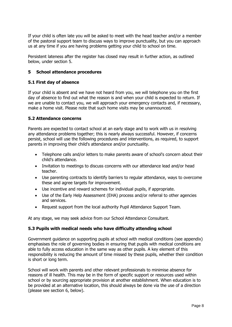If your child is often late you will be asked to meet with the head teacher and/or a member of the pastoral support team to discuss ways to improve punctuality, but you can approach us at any time if you are having problems getting your child to school on time.

Persistent lateness after the register has closed may result in further action, as outlined below, under section 5.

#### <span id="page-8-0"></span>**5 School attendance procedures**

#### <span id="page-8-1"></span>**5.1 First day of absence**

If your child is absent and we have not heard from you, we will telephone you on the first day of absence to find out what the reason is and when your child is expected to return. If we are unable to contact you, we will approach your emergency contacts and, if necessary, make a home visit. Please note that such home visits may be unannounced.

#### <span id="page-8-2"></span>**5.2 Attendance concerns**

Parents are expected to contact school at an early stage and to work with us in resolving any attendance problems together; this is nearly always successful. However, if concerns persist, school will use the following procedures and interventions, as required, to support parents in improving their child's attendance and/or punctuality.

- Telephone calls and/or letters to make parents aware of school's concern about their child's attendance.
- Invitation to meetings to discuss concerns with our attendance lead and/or head teacher.
- Use parenting contracts to identify barriers to regular attendance, ways to overcome these and agree targets for improvement.
- Use incentive and reward schemes for individual pupils, if appropriate.
- Use of the Early Help Assessment (EHA) process and/or referral to other agencies and services.
- Request support from the local authority Pupil Attendance Support Team.

At any stage, we may seek advice from our School Attendance Consultant.

#### <span id="page-8-3"></span>**5.3 Pupils with medical needs who have difficulty attending school**

Government guidance on supporting pupils at school with medical conditions (see appendix) emphasises the role of governing bodies in ensuring that pupils with medical conditions are able to fully access education in the same way as other pupils. A key element of this responsibility is reducing the amount of time missed by these pupils, whether their condition is short or long term.

School will work with parents and other relevant professionals to minimise absence for reasons of ill health. This may be in the form of specific support or resources used within school or by sourcing appropriate provision at another establishment. When education is to be provided at an alternative location, this should always be done via the use of a direction (please see section 6, below).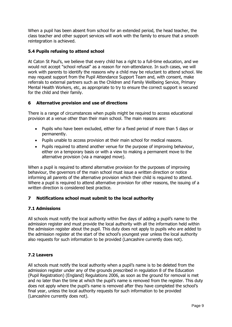When a pupil has been absent from school for an extended period, the head teacher, the class teacher and other support services will work with the family to ensure that a smooth reintegration is achieved.

## <span id="page-9-0"></span>**5.4 Pupils refusing to attend school**

At Caton St Paul's, we believe that every child has a right to a full-time education, and we would not accept "school refusal" as a reason for non-attendance. In such cases, we will work with parents to identify the reasons why a child may be reluctant to attend school. We may request support from the Pupil Attendance Support Team and, with consent, make referrals to external partners such as the Children and Family Wellbeing Service, Primary Mental Health Workers, etc, as appropriate to try to ensure the correct support is secured for the child and their family.

#### <span id="page-9-1"></span>**6 Alternative provision and use of directions**

There is a range of circumstances when pupils might be required to access educational provision at a venue other than their main school. The main reasons are:

- Pupils who have been excluded, either for a fixed period of more than 5 days or permanently.
- Pupils unable to access provision at their main school for medical reasons.
- Pupils required to attend another venue for the purpose of improving behaviour, either on a temporary basis or with a view to making a permanent move to the alternative provision (via a managed move).

When a pupil is required to attend alternative provision for the purposes of improving behaviour, the governors of the main school must issue a written direction or notice informing all parents of the alternative provision which their child is required to attend. Where a pupil is required to attend alternative provision for other reasons, the issuing of a written direction is considered best practice.

## <span id="page-9-2"></span>**7 Notifications school must submit to the local authority**

#### <span id="page-9-3"></span>**7.1 Admissions**

All schools must notify the local authority within five days of adding a pupil's name to the admission register and must provide the local authority with all the information held within the admission register about the pupil. This duty does not apply to pupils who are added to the admission register at the start of the school's youngest year unless the local authority also requests for such information to be provided (Lancashire currently does not).

#### <span id="page-9-4"></span>**7.2 Leavers**

All schools must notify the local authority when a pupil's name is to be deleted from the admission register under any of the grounds prescribed in regulation 8 of the Education (Pupil Registration) (England) Regulations 2006, as soon as the ground for removal is met and no later than the time at which the pupil's name is removed from the register. This duty does not apply where the pupil's name is removed after they have completed the school's final year, unless the local authority requests for such information to be provided (Lancashire currently does not).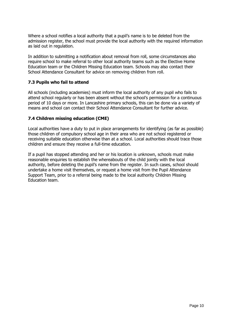Where a school notifies a local authority that a pupil's name is to be deleted from the admission register, the school must provide the local authority with the required information as laid out in regulation.

In addition to submitting a notification about removal from roll, some circumstances also require school to make referral to other local authority teams such as the Elective Home Education team or the Children Missing Education team. Schools may also contact their School Attendance Consultant for advice on removing children from roll.

#### <span id="page-10-0"></span>**7.3 Pupils who fail to attend**

All schools (including academies) must inform the local authority of any pupil who fails to attend school regularly or has been absent without the school's permission for a continuous period of 10 days or more. In Lancashire primary schools, this can be done via a variety of means and school can contact their School Attendance Consultant for further advice.

#### <span id="page-10-1"></span>**7.4 Children missing education (CME)**

Local authorities have a duty to put in place arrangements for identifying (as far as possible) those children of compulsory school age in their area who are not school registered or receiving suitable education otherwise than at a school. Local authorities should trace those children and ensure they receive a full-time education.

If a pupil has stopped attending and her or his location is unknown, schools must make reasonable enquiries to establish the whereabouts of the child jointly with the local authority, before deleting the pupil's name from the register. In such cases, school should undertake a home visit themselves, or request a home visit from the Pupil Attendance Support Team, prior to a referral being made to the local authority Children Missing Education team.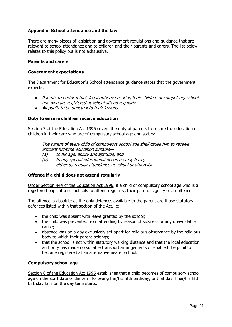#### <span id="page-11-0"></span>**Appendix: School attendance and the law**

There are many pieces of legislation and government regulations and guidance that are relevant to school attendance and to children and their parents and carers. The list below relates to this policy but is not exhaustive.

#### <span id="page-11-1"></span>**Parents and carers**

#### **Government expectations**

The Department for Education's School attendance quidance states that the government expects:

- Parents to perform their legal duty by ensuring their children of compulsory school age who are registered at school attend regularly.
- All pupils to be punctual to their lessons.

#### **Duty to ensure children receive education**

[Section 7 of the Education Act 1996](https://www.legislation.gov.uk/ukpga/1996/56/section/7) covers the duty of parents to secure the education of children in their care who are of compulsory school age and states:

The parent of every child of compulsory school age shall cause him to receive efficient full-time education suitable—

- (a) to his age, ability and aptitude, and
- (b) to any special educational needs he may have, either by regular attendance at school or otherwise.

#### **Offence if a child does not attend regularly**

Under [Section 444 of the Education Act 1996,](http://www.legislation.gov.uk/ukpga/1996/56/section/444) if a child of compulsory school age who is a registered pupil at a school fails to attend regularly, their parent is guilty of an offence.

The offence is absolute as the only defences available to the parent are those statutory defences listed within that section of the Act, ie:

- the child was absent with leave granted by the school;
- the child was prevented from attending by reason of sickness or any unavoidable cause;
- absence was on a day exclusively set apart for religious observance by the religious body to which their parent belongs;
- that the school is not within statutory walking distance and that the local education authority has made no suitable transport arrangements or enabled the pupil to become registered at an alternative nearer school.

#### **Compulsory school age**

[Section 8 of the Education Act 1996](https://www.legislation.gov.uk/ukpga/1996/56/section/8) establishes that a child becomes of compulsory school age on the start date of the term following her/his fifth birthday, or that day if her/his fifth birthday falls on the day term starts.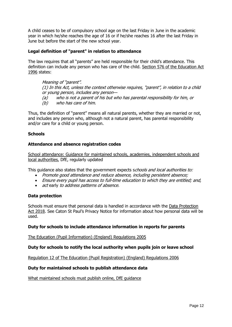A child ceases to be of compulsory school age on the last Friday in June in the academic year in which he/she reaches the age of 16 or if he/she reaches 16 after the last Friday in June but before the start of the new school year.

#### **Legal definition of "parent" in relation to attendance**

The law requires that all "parents" are held responsible for their child's attendance. This definition can include any person who has care of the child. [Section 576 of the Education Act](https://www.legislation.gov.uk/ukpga/1996/56/section/576)  [1996](https://www.legislation.gov.uk/ukpga/1996/56/section/576) states:

Meaning of "parent". (1) In this Act, unless the context otherwise requires, "parent", in relation to a child or young person, includes any person— (a) who is not a parent of his but who has parental responsibility for him, or (b) who has care of him.

Thus, the definition of "parent" means all natural parents, whether they are married or not, and includes any person who, although not a natural parent, has parental responsibility and/or care for a child or young person.

#### <span id="page-12-0"></span>**Schools**

#### **Attendance and absence registration codes**

[School attendance: Guidance for maintained schools, academies, independent schools and](https://www.gov.uk/government/publications/school-attendance)  [local authorities,](https://www.gov.uk/government/publications/school-attendance) DfE, regularly updated

This guidance also states that the government expects schools and local authorities to:

- Promote good attendance and reduce absence, including persistent absence;
- Ensure every pupil has access to full-time education to which they are entitled; and,
- act early to address patterns of absence.

#### **Data protection**

Schools must ensure that personal data is handled in accordance with the [Data Protection](https://www.gov.uk/data-protection)  [Act 2018.](https://www.gov.uk/data-protection) See Caton St Paul's Privacy Notice for information about how personal data will be used.

#### **Duty for schools to include attendance information in reports for parents**

[The Education \(Pupil Information\) \(England\) Regulations 2005](https://www.legislation.gov.uk/uksi/2005/1437/made)

#### **Duty for schools to notify the local authority when pupils join or leave school**

[Regulation 12 of The Education \(Pupil Registration\) \(England\) Regulations 2006](https://www.legislation.gov.uk/uksi/2006/1751/regulation/12)

#### **Duty for maintained schools to publish attendance data**

[What maintained schools must publish online,](https://www.gov.uk/guidance/what-maintained-schools-must-publish-online) DfE guidance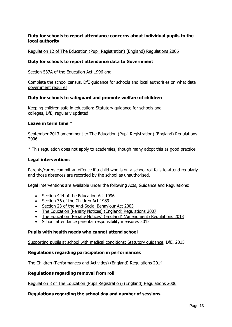## **Duty for schools to report attendance concerns about individual pupils to the local authority**

[Regulation 12 of The Education \(Pupil Registration\) \(England\) Regulations 2006](https://www.legislation.gov.uk/uksi/2006/1751/regulation/12)

#### **Duty for schools to report attendance data to Government**

[Section 537A of the Education Act 1996](https://www.legislation.gov.uk/ukpga/1996/56/section/537A) and

[Complete the school census,](https://www.gov.uk/guidance/complete-the-school-census) DfE guidance for schools and local authorities on what data government requires

#### **Duty for schools to safeguard and promote welfare of children**

[Keeping children safe in education: Statutory guidance for schools and](https://www.gov.uk/government/publications/keeping-children-safe-in-education--2) [colleges,](https://www.gov.uk/government/publications/keeping-children-safe-in-education--2) DfE, regularly updated

#### **Leave in term time \***

[September 2013 amendment to The Education \(Pupil Registration\) \(England\) Regulations](https://www.legislation.gov.uk/uksi/2006/1751/contents)  [2006](https://www.legislation.gov.uk/uksi/2006/1751/contents)

\* This regulation does not apply to academies, though many adopt this as good practice.

#### **Legal interventions**

Parents/carers commit an offence if a child who is on a school roll fails to attend regularly and those absences are recorded by the school as unauthorised.

Legal interventions are available under the following Acts, Guidance and Regulations:

- [Section 444 of the Education Act 1996](http://www.legislation.gov.uk/ukpga/1996/56/section/444)
- [Section 36 of the Children Act 1989](http://www.legislation.gov.uk/ukpga/1989/41/section/36)
- [Section 23 of the Anti-Social Behaviour Act 2003](http://www.legislation.gov.uk/ukpga/2003/38/section/23)
- [The Education \(Penalty Notices\) \(England\) Regulations 2007](http://www.legislation.gov.uk/uksi/2007/1867/contents/made)
- [The Education \(Penalty Notices\) \(England\) \(Amendment\) Regulations 2013](http://www.legislation.gov.uk/uksi/2013/757/contents/made)
- [School attendance parental responsibility measures 2015](https://www.gov.uk/government/publications/parental-responsibility-measures-for-behaviour-and-attendance)

#### **Pupils with health needs who cannot attend school**

[Supporting pupils at school with medical conditions: Statutory guidance,](https://www.gov.uk/government/publications/supporting-pupils-at-school-with-medical-conditions--3) DfE, 2015

#### **Regulations regarding participation in performances**

[The Children \(Performances and Activities\) \(England\) Regulations 2014](https://www.legislation.gov.uk/uksi/2014/3309/contents/made)

#### **Regulations regarding removal from roll**

[Regulation 8 of The Education \(Pupil Registration\) \(England\) Regulations 2006](https://www.legislation.gov.uk/uksi/2006/1751/regulation/8)

#### **Regulations regarding the school day and number of sessions.**